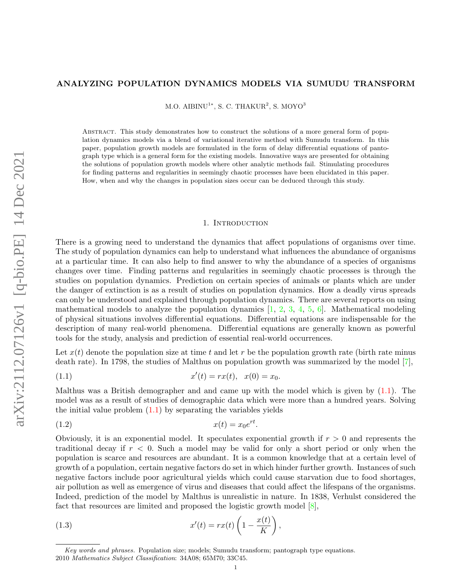## ANALYZING POPULATION DYNAMICS MODELS VIA SUMUDU TRANSFORM

M.O. AIBINU $^{1*}$ , S. C. THAKUR $^{2}$ , S. MOYO $^{3}$ 

Abstract. This study demonstrates how to construct the solutions of a more general form of population dynamics models via a blend of variational iterative method with Sumudu transform. In this paper, population growth models are formulated in the form of delay differential equations of pantograph type which is a general form for the existing models. Innovative ways are presented for obtaining the solutions of population growth models where other analytic methods fail. Stimulating procedures for finding patterns and regularities in seemingly chaotic processes have been elucidated in this paper. How, when and why the changes in population sizes occur can be deduced through this study.

#### <span id="page-0-0"></span>1. INTRODUCTION

There is a growing need to understand the dynamics that affect populations of organisms over time. The study of population dynamics can help to understand what influences the abundance of organisms at a particular time. It can also help to find answer to why the abundance of a species of organisms changes over time. Finding patterns and regularities in seemingly chaotic processes is through the studies on population dynamics. Prediction on certain species of animals or plants which are under the danger of extinction is as a result of studies on population dynamics. How a deadly virus spreads can only be understood and explained through population dynamics. There are several reports on using mathematical models to analyze the population dynamics  $[1, 2, 3, 4, 5, 6]$  $[1, 2, 3, 4, 5, 6]$  $[1, 2, 3, 4, 5, 6]$  $[1, 2, 3, 4, 5, 6]$  $[1, 2, 3, 4, 5, 6]$  $[1, 2, 3, 4, 5, 6]$  $[1, 2, 3, 4, 5, 6]$  $[1, 2, 3, 4, 5, 6]$  $[1, 2, 3, 4, 5, 6]$  $[1, 2, 3, 4, 5, 6]$  $[1, 2, 3, 4, 5, 6]$ . Mathematical modeling of physical situations involves differential equations. Differential equations are indispensable for the description of many real-world phenomena. Differential equations are generally known as powerful tools for the study, analysis and prediction of essential real-world occurrences.

Let  $x(t)$  denote the population size at time t and let r be the population growth rate (birth rate minus death rate). In 1798, the studies of Malthus on population growth was summarized by the model [\[7\]](#page-10-6),

(1.1) 
$$
x'(t) = rx(t), \quad x(0) = x_0.
$$

Malthus was a British demographer and and came up with the model which is given by [\(1.1\)](#page-0-0). The model was as a result of studies of demographic data which were more than a hundred years. Solving the initial value problem  $(1.1)$  by separating the variables yields

$$
(1.2) \t\t x(t) = x_0 e^{rt}.
$$

Obviously, it is an exponential model. It speculates exponential growth if  $r > 0$  and represents the traditional decay if  $r < 0$ . Such a model may be valid for only a short period or only when the population is scarce and resources are abundant. It is a common knowledge that at a certain level of growth of a population, certain negative factors do set in which hinder further growth. Instances of such negative factors include poor agricultural yields which could cause starvation due to food shortages, air pollution as well as emergence of virus and diseases that could affect the lifespans of the organisms. Indeed, prediction of the model by Malthus is unrealistic in nature. In 1838, Verhulst considered the fact that resources are limited and proposed the logistic growth model  $[8]$ ,

<span id="page-0-1"></span>(1.3) 
$$
x'(t) = rx(t)\left(1 - \frac{x(t)}{K}\right),
$$

Key words and phrases. Population size; models; Sumudu transform; pantograph type equations. 2010 Mathematics Subject Classification: 34A08; 65M70; 33C45.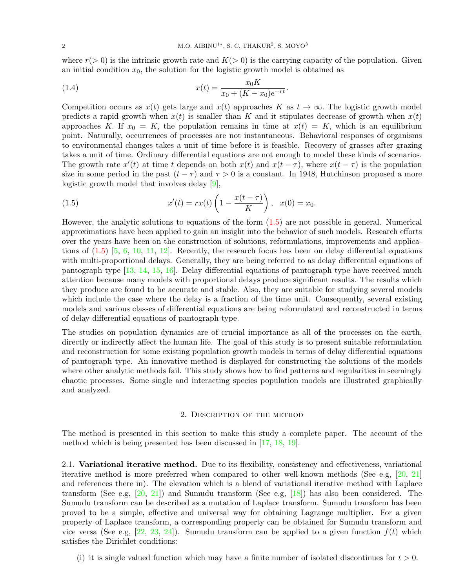<span id="page-1-1"></span>where  $r(> 0)$  is the intrinsic growth rate and  $K(> 0)$  is the carrying capacity of the population. Given an initial condition  $x_0$ , the solution for the logistic growth model is obtained as

(1.4) 
$$
x(t) = \frac{x_0 K}{x_0 + (K - x_0)e^{-rt}}.
$$

Competition occurs as  $x(t)$  gets large and  $x(t)$  approaches K as  $t \to \infty$ . The logistic growth model predicts a rapid growth when  $x(t)$  is smaller than K and it stipulates decrease of growth when  $x(t)$ approaches K. If  $x_0 = K$ , the population remains in time at  $x(t) = K$ , which is an equilibrium point. Naturally, occurrences of processes are not instantaneous. Behavioral responses of organisms to environmental changes takes a unit of time before it is feasible. Recovery of grasses after grazing takes a unit of time. Ordinary differential equations are not enough to model these kinds of scenarios. The growth rate  $x'(t)$  at time t depends on both  $x(t)$  and  $x(t - \tau)$ , where  $x(t - \tau)$  is the population size in some period in the past  $(t - \tau)$  and  $\tau > 0$  is a constant. In 1948, Hutchinson proposed a more logistic growth model that involves delay [\[9\]](#page-10-8),

<span id="page-1-0"></span>(1.5) 
$$
x'(t) = rx(t)\left(1 - \frac{x(t-\tau)}{K}\right), \quad x(0) = x_0.
$$

However, the analytic solutions to equations of the form [\(1.5\)](#page-1-0) are not possible in general. Numerical approximations have been applied to gain an insight into the behavior of such models. Research efforts over the years have been on the construction of solutions, reformulations, improvements and applications of  $(1.5)$  [\[5,](#page-10-4) [6,](#page-10-5) [10,](#page-10-9) [11,](#page-10-10) [12\]](#page-10-11). Recently, the research focus has been on delay differential equations with multi-proportional delays. Generally, they are being referred to as delay differential equations of pantograph type [\[13,](#page-11-0) [14,](#page-11-1) [15,](#page-11-2) [16\]](#page-11-3). Delay differential equations of pantograph type have received much attention because many models with proportional delays produce significant results. The results which they produce are found to be accurate and stable. Also, they are suitable for studying several models which include the case where the delay is a fraction of the time unit. Consequently, several existing models and various classes of differential equations are being reformulated and reconstructed in terms of delay differential equations of pantograph type.

The studies on population dynamics are of crucial importance as all of the processes on the earth, directly or indirectly affect the human life. The goal of this study is to present suitable reformulation and reconstruction for some existing population growth models in terms of delay differential equations of pantograph type. An innovative method is displayed for constructing the solutions of the models where other analytic methods fail. This study shows how to find patterns and regularities in seemingly chaotic processes. Some single and interacting species population models are illustrated graphically and analyzed.

### 2. Description of the method

The method is presented in this section to make this study a complete paper. The account of the method which is being presented has been discussed in [\[17,](#page-11-4) [18,](#page-11-5) [19\]](#page-11-6).

2.1. Variational iterative method. Due to its flexibility, consistency and effectiveness, variational iterative method is more preferred when compared to other well-known methods (See e.g, [\[20,](#page-11-7) [21\]](#page-11-8) and references there in). The elevation which is a blend of variational iterative method with Laplace transform (See e.g,  $[20, 21]$  $[20, 21]$  $[20, 21]$ ) and Sumudu transform (See e.g,  $[18]$ ) has also been considered. The Sumudu transform can be described as a mutation of Laplace transform. Sumudu transform has been proved to be a simple, effective and universal way for obtaining Lagrange multiplier. For a given property of Laplace transform, a corresponding property can be obtained for Sumudu transform and vice versa (See e.g, [\[22,](#page-11-9) [23,](#page-11-10) [24\]](#page-11-11)). Sumudu transform can be applied to a given function  $f(t)$  which satisfies the Dirichlet conditions:

(i) it is single valued function which may have a finite number of isolated discontinues for  $t > 0$ .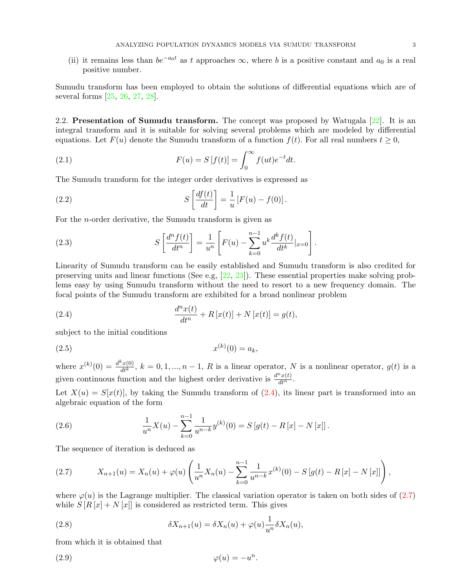(ii) it remains less than  $be^{-a_0t}$  as t approaches  $\infty$ , where b is a positive constant and  $a_0$  is a real positive number.

Sumudu transform has been employed to obtain the solutions of differential equations which are of several forms [\[25,](#page-11-12) [26,](#page-11-13) [27,](#page-11-14) [28\]](#page-11-15).

<span id="page-2-3"></span>2.2. Presentation of Sumudu transform. The concept was proposed by Watugala [\[22\]](#page-11-9). It is an integral transform and it is suitable for solving several problems which are modeled by differential equations. Let  $F(u)$  denote the Sumudu transform of a function  $f(t)$ . For all real numbers  $t \geq 0$ ,

(2.1) 
$$
F(u) = S[f(t)] = \int_0^\infty f(ut)e^{-t}dt.
$$

The Sumudu transform for the integer order derivatives is expressed as

(2.2) 
$$
S\left[\frac{df(t)}{dt}\right] = \frac{1}{u}\left[F(u) - f(0)\right].
$$

For the n-order derivative, the Sumudu transform is given as

(2.3) 
$$
S\left[\frac{d^n f(t)}{dt^n}\right] = \frac{1}{u^n} \left[F(u) - \sum_{k=0}^{n-1} u^k \frac{d^k f(t)}{dt^k}\Big|_{x=0}\right].
$$

Linearity of Sumudu transform can be easily established and Sumudu transform is also credited for preserving units and linear functions (See e.g,  $[22, 23]$  $[22, 23]$  $[22, 23]$ ). These essential properties make solving problems easy by using Sumudu transform without the need to resort to a new frequency domain. The focal points of the Sumudu transform are exhibited for a broad nonlinear problem

<span id="page-2-0"></span>(2.4) 
$$
\frac{d^n x(t)}{dt^n} + R[x(t)] + N[x(t)] = g(t),
$$

subject to the initial conditions

(2.5) 
$$
x^{(k)}(0) = a_k,
$$

where  $x^{(k)}(0) = \frac{d^k x(0)}{dt^k}$  $\frac{d\mathcal{L}(0)}{dt^k}$ ,  $k = 0, 1, ..., n-1$ , R is a linear operator, N is a nonlinear operator,  $g(t)$  is a given continuous function and the highest order derivative is  $\frac{d^n x(t)}{dt^n}$ .

Let  $X(u) = S[x(t)]$ , by taking the Sumudu transform of  $(2.4)$ , its linear part is transformed into an algebraic equation of the form

(2.6) 
$$
\frac{1}{u^n}X(u) - \sum_{k=0}^{n-1} \frac{1}{u^{n-k}}y^{(k)}(0) = S[g(t) - R[x] - N[x]].
$$

<span id="page-2-1"></span>The sequence of iteration is deduced as

$$
(2.7) \tX_{n+1}(u) = X_n(u) + \varphi(u) \left( \frac{1}{u^n} X_n(u) - \sum_{k=0}^{n-1} \frac{1}{u^{n-k}} x^{(k)}(0) - S\left[g(t) - R\left[x\right] - N\left[x\right]\right] \right),
$$

where  $\varphi(u)$  is the Lagrange multiplier. The classical variation operator is taken on both sides of [\(2.7\)](#page-2-1) while  $S[R[x] + N[x]]$  is considered as restricted term. This gives

(2.8) 
$$
\delta X_{n+1}(u) = \delta X_n(u) + \varphi(u) \frac{1}{u^n} \delta X_n(u),
$$

<span id="page-2-2"></span>from which it is obtained that

$$
\varphi(u) = -u^n.
$$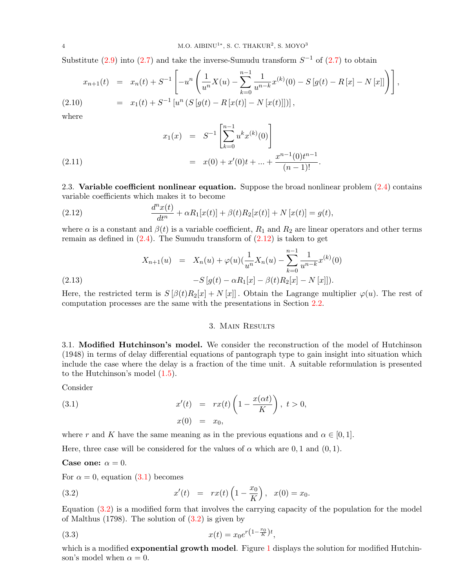Substitute [\(2.9\)](#page-2-2) into [\(2.7\)](#page-2-1) and take the inverse-Sumudu transform  $S^{-1}$  of (2.7) to obtain

$$
x_{n+1}(t) = x_n(t) + S^{-1} \left[ -u^n \left( \frac{1}{u^n} X(u) - \sum_{k=0}^{n-1} \frac{1}{u^{n-k}} x^{(k)}(0) - S[g(t) - R[x] - N[x]] \right) \right],
$$
  
(2.10) =  $x_1(t) + S^{-1} [u^n (S[g(t) - R[x(t)] - N[x(t)]])],$ 

where

(2.11) 
$$
x_1(x) = S^{-1} \left[ \sum_{k=0}^{n-1} u^k x^{(k)}(0) \right]
$$

$$
= x(0) + x'(0)t + ... + \frac{x^{n-1}(0)t^{n-1}}{(n-1)!}.
$$

2.3. Variable coefficient nonlinear equation. Suppose the broad nonlinear problem  $(2.4)$  contains variable coefficients which makes it to become

(2.12) 
$$
\frac{d^n x(t)}{dt^n} + \alpha R_1[x(t)] + \beta(t)R_2[x(t)] + N[x(t)] = g(t),
$$

where  $\alpha$  is a constant and  $\beta(t)$  is a variable coefficient,  $R_1$  and  $R_2$  are linear operators and other terms remain as defined in  $(2.4)$ . The Sumudu transform of  $(2.12)$  is taken to get

$$
X_{n+1}(u) = X_n(u) + \varphi(u)\left(\frac{1}{u^n}X_n(u) - \sum_{k=0}^{n-1} \frac{1}{u^{n-k}} x^{(k)}(0)\right)
$$
  
(2.13) 
$$
-S[g(t) - \alpha R_1[x] - \beta(t)R_2[x] - N[x]]).
$$

Here, the restricted term is  $S[\beta(t)R_2[x] + N[x]]$ . Obtain the Lagrange multiplier  $\varphi(u)$ . The rest of computation processes are the same with the presentations in Section [2.2.](#page-2-3)

### <span id="page-3-1"></span><span id="page-3-0"></span>3. Main Results

3.1. Modified Hutchinson's model. We consider the reconstruction of the model of Hutchinson (1948) in terms of delay differential equations of pantograph type to gain insight into situation which include the case where the delay is a fraction of the time unit. A suitable reformulation is presented to the Hutchinson's model [\(1.5\)](#page-1-0).

Consider

(3.1) 
$$
x'(t) = rx(t) \left(1 - \frac{x(\alpha t)}{K}\right), \ t > 0, x(0) = x_0,
$$

where r and K have the same meaning as in the previous equations and  $\alpha \in [0, 1]$ .

Here, three case will be considered for the values of  $\alpha$  which are 0, 1 and (0, 1).

Case one:  $\alpha = 0$ .

For  $\alpha = 0$ , equation [\(3.1\)](#page-3-1) becomes

<span id="page-3-2"></span>(3.2) 
$$
x'(t) = rx(t)\left(1 - \frac{x_0}{K}\right), \quad x(0) = x_0.
$$

Equation [\(3.2\)](#page-3-2) is a modified form that involves the carrying capacity of the population for the model of Malthus  $(1798)$ . The solution of  $(3.2)$  is given by

(3.3) 
$$
x(t) = x_0 e^{r\left(1 - \frac{x_0}{K}\right)t},
$$

which is a modified **exponential growth model**. Figure [1](#page-4-0) displays the solution for modified Hutchinson's model when  $\alpha = 0$ .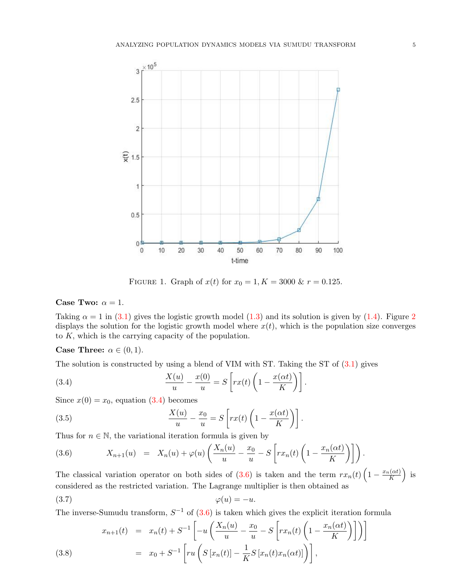

<span id="page-4-1"></span><span id="page-4-0"></span>FIGURE 1. Graph of  $x(t)$  for  $x_0 = 1, K = 3000$  &  $r = 0.125$ .

# Case Two:  $\alpha = 1$ .

Taking  $\alpha = 1$  in [\(3.1\)](#page-3-1) gives the logistic growth model [\(1.3\)](#page-0-1) and its solution is given by [\(1.4\)](#page-1-1). Figure [2](#page-5-0) displays the solution for the logistic growth model where  $x(t)$ , which is the population size converges to K, which is the carrying capacity of the population.

# Case Three:  $\alpha \in (0,1)$ .

The solution is constructed by using a blend of VIM with ST. Taking the ST of [\(3.1\)](#page-3-1) gives

(3.4) 
$$
\frac{X(u)}{u} - \frac{x(0)}{u} = S\left[rx(t)\left(1 - \frac{x(\alpha t)}{K}\right)\right].
$$

Since  $x(0) = x_0$ , equation [\(3.4\)](#page-4-1) becomes

(3.5) 
$$
\frac{X(u)}{u} - \frac{x_0}{u} = S\left[rx(t)\left(1 - \frac{x(\alpha t)}{K}\right)\right].
$$

Thus for  $n \in \mathbb{N}$ , the variational iteration formula is given by

<span id="page-4-2"></span>
$$
(3.6) \qquad X_{n+1}(u) = X_n(u) + \varphi(u) \left( \frac{X_n(u)}{u} - \frac{x_0}{u} - S \left[ rx_n(t) \left( 1 - \frac{x_n(\alpha t)}{K} \right) \right] \right).
$$

The classical variation operator on both sides of [\(3.6\)](#page-4-2) is taken and the term  $rx_n(t)$   $\left(1-\frac{x_n(\alpha t)}{K}\right)$  $\frac{\overline{h}}{K}$ ) is considered as the restricted variation. The Lagrange multiplier is then obtained as

$$
\varphi(u) = -u.
$$

The inverse-Sumudu transform,  $S^{-1}$  of  $(3.6)$  is taken which gives the explicit iteration formula

(3.8) 
$$
x_{n+1}(t) = x_n(t) + S^{-1} \left[ -u \left( \frac{X_n(u)}{u} - \frac{x_0}{u} - S \left[ rx_n(t) \left( 1 - \frac{x_n(\alpha t)}{K} \right) \right] \right) \right]
$$

$$
= x_0 + S^{-1} \left[ ru \left( S \left[ x_n(t) \right] - \frac{1}{K} S \left[ x_n(t) x_n(\alpha t) \right] \right) \right],
$$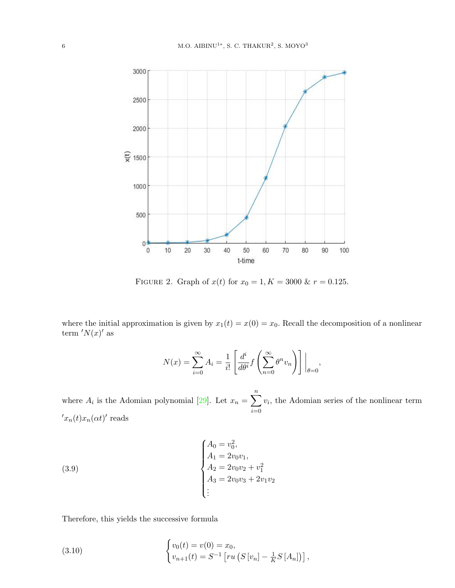

<span id="page-5-0"></span>FIGURE 2. Graph of  $x(t)$  for  $x_0 = 1, K = 3000$  &  $r = 0.125$ .

where the initial approximation is given by  $x_1(t) = x(0) = x_0$ . Recall the decomposition of a nonlinear term  $'N(x)'$  as

$$
N(x) = \sum_{i=0}^{\infty} A_i = \frac{1}{i!} \left[ \frac{d^i}{d\theta^i} f\left(\sum_{n=0}^{\infty} \theta^n v_n\right) \right] \bigg|_{\theta=0},
$$

where  $A_i$  is the Adomian polynomial [\[29\]](#page-11-16). Let  $x_n = \sum_{i=1}^n$  $i=0$  $v_i$ , the Adomian series of the nonlinear term  $x_n(t)x_n(\alpha t)$ ' reads

(3.9)  

$$
\begin{cases}\nA_0 = v_0^2, \\
A_1 = 2v_0v_1, \\
A_2 = 2v_0v_2 + v_1^2 \\
A_3 = 2v_0v_3 + 2v_1v_2 \\
\vdots\n\end{cases}
$$

Therefore, this yields the successive formula

(3.10) 
$$
\begin{cases} v_0(t) = v(0) = x_0, \\ v_{n+1}(t) = S^{-1} \left[ ru \left( S \left[ v_n \right] - \frac{1}{K} S \left[ A_n \right] \right) \right], \end{cases}
$$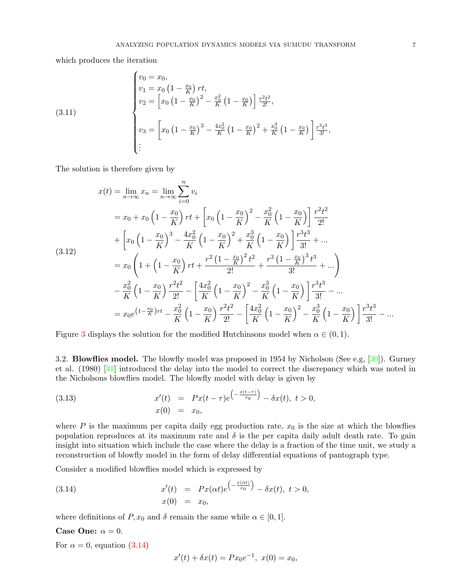which produces the iteration

 $\lambda$ 

(3.11)  

$$
\begin{cases}\nv_0 = x_0, \\
v_1 = x_0 \left(1 - \frac{x_0}{K}\right) rt, \\
v_2 = \left[x_0 \left(1 - \frac{x_0}{K}\right)^2 - \frac{x_0^2}{K} \left(1 - \frac{x_0}{K}\right)\right] \frac{r^2 t^2}{2!}, \\
v_3 = \left[x_0 \left(1 - \frac{x_0}{K}\right)^3 - \frac{4x_0^2}{K} \left(1 - \frac{x_0}{K}\right)^2 + \frac{x_0^3}{K} \left(1 - \frac{x_0}{K}\right)\right] \frac{r^3 t^3}{3!}, \\
\vdots\n\end{cases}
$$

The solution is therefore given by

$$
x(t) = \lim_{n \to \infty} x_n = \lim_{n \to \infty} \sum_{i=0}^{n} v_i
$$
  
\n
$$
= x_0 + x_0 \left(1 - \frac{x_0}{K}\right) rt + \left[x_0 \left(1 - \frac{x_0}{K}\right)^2 - \frac{x_0^2}{K} \left(1 - \frac{x_0}{K}\right)\right] \frac{r^2 t^2}{2!}
$$
  
\n
$$
+ \left[x_0 \left(1 - \frac{x_0}{K}\right)^3 - \frac{4x_0^2}{K} \left(1 - \frac{x_0}{K}\right)^2 + \frac{x_0^3}{K} \left(1 - \frac{x_0}{K}\right)\right] \frac{r^3 t^3}{3!} + \dots
$$
  
\n(3.12)  
\n
$$
= x_0 \left(1 + \left(1 - \frac{x_0}{K}\right) rt + \frac{r^2 \left(1 - \frac{x_0}{K}\right)^2 t^2}{2!} + \frac{r^3 \left(1 - \frac{x_0}{K}\right)^3 t^3}{3!} + \dots\right)
$$
  
\n
$$
- \frac{x_0^2}{K} \left(1 - \frac{x_0}{K}\right) \frac{r^2 t^2}{2!} - \left[\frac{4x_0^2}{K} \left(1 - \frac{x_0}{K}\right)^2 - \frac{x_0^3}{K} \left(1 - \frac{x_0}{K}\right)\right] \frac{r^3 t^3}{3!} - \dots
$$
  
\n
$$
= x_0 e^{\left(1 - \frac{x_0}{K}\right) rt} - \frac{x_0^2}{K} \left(1 - \frac{x_0}{K}\right) \frac{r^2 t^2}{2!} - \left[\frac{4x_0^2}{K} \left(1 - \frac{x_0}{K}\right)^2 - \frac{x_0^3}{K} \left(1 - \frac{x_0}{K}\right)\right] \frac{r^3 t^3}{3!} - \dots
$$

Figure [3](#page-7-0) displays the solution for the modified Hutchinsons model when  $\alpha \in (0,1)$ .

3.2. Blowflies model. The blowfly model was proposed in 1954 by Nicholson (See e.g, [\[30\]](#page-11-17)). Gurney et al. (1980) [\[31\]](#page-11-18) introduced the delay into the model to correct the discrepancy which was noted in the Nicholsons blowflies model. The blowfly model with delay is given by

(3.13) 
$$
x'(t) = Px(t-\tau)e^{-\frac{x(t-\tau)}{x_0}} - \delta x(t), t > 0, x(0) = x_0,
$$

where  $P$  is the maximum per capita daily egg production rate,  $x_0$  is the size at which the blowflies population reproduces at its maximum rate and  $\delta$  is the per capita daily adult death rate. To gain insight into situation which include the case where the delay is a fraction of the time unit, we study a reconstruction of blowfly model in the form of delay differential equations of pantograph type.

Consider a modified blowflies model which is expressed by

(3.14) 
$$
x'(t) = Px(\alpha t)e^{-\frac{x(\alpha t)}{x_0}} - \delta x(t), t > 0, x(0) = x_0,
$$

where definitions of P,  $x_0$  and  $\delta$  remain the same while  $\alpha \in [0, 1]$ .

Case One:  $\alpha = 0$ .

For  $\alpha = 0$ , equation  $(3.14)$ 

<span id="page-6-0"></span>
$$
x'(t) + \delta x(t) = Px_0e^{-1}, \ x(0) = x_0,
$$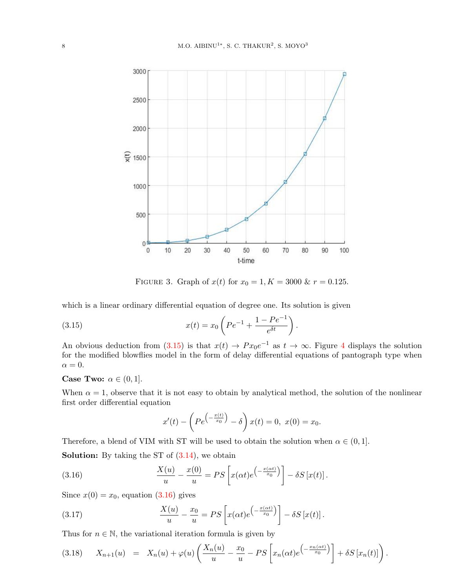

<span id="page-7-1"></span><span id="page-7-0"></span>FIGURE 3. Graph of  $x(t)$  for  $x_0 = 1, K = 3000 \& r = 0.125$ .

which is a linear ordinary differential equation of degree one. Its solution is given

(3.15) 
$$
x(t) = x_0 \left( Pe^{-1} + \frac{1 - Pe^{-1}}{e^{\delta t}} \right).
$$

An obvious deduction from [\(3.15\)](#page-7-1) is that  $x(t) \to Px_0e^{-1}$  as  $t \to \infty$ . Figure [4](#page-8-0) displays the solution for the modified blowflies model in the form of delay differential equations of pantograph type when  $\alpha = 0.$ 

## Case Two:  $\alpha \in (0,1]$ .

When  $\alpha = 1$ , observe that it is not easy to obtain by analytical method, the solution of the nonlinear first order differential equation

<span id="page-7-2"></span>
$$
x'(t) - \left( Pe^{-\frac{x(t)}{x_0}} - \delta \right) x(t) = 0, \ x(0) = x_0.
$$

Therefore, a blend of VIM with ST will be used to obtain the solution when  $\alpha \in (0,1]$ . **Solution:** By taking the ST of  $(3.14)$ , we obtain

(3.16) 
$$
\frac{X(u)}{u} - \frac{x(0)}{u} = PS\left[x(\alpha t)e^{-\frac{x(\alpha t)}{x_0}}\right] - \delta S\left[x(t)\right].
$$

Since  $x(0) = x_0$ , equation  $(3.16)$  gives

(3.17) 
$$
\frac{X(u)}{u} - \frac{x_0}{u} = PS\left[x(\alpha t)e^{-\frac{x(\alpha t)}{x_0}}\right] - \delta S\left[x(t)\right].
$$

Thus for  $n \in \mathbb{N}$ , the variational iteration formula is given by

<span id="page-7-3"></span>
$$
(3.18) \tX_{n+1}(u) = X_n(u) + \varphi(u) \left( \frac{X_n(u)}{u} - \frac{x_0}{u} - PS \left[ x_n(\alpha t) e^{-\frac{x_n(\alpha t)}{x_0}} \right] + \delta S \left[ x_n(t) \right] \right).
$$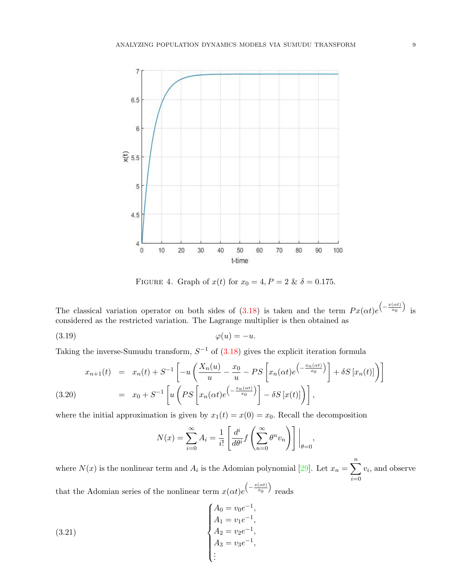

<span id="page-8-0"></span>FIGURE 4. Graph of  $x(t)$  for  $x_0 = 4, P = 2 \& \delta = 0.175$ .

The classical variation operator on both sides of [\(3.18\)](#page-7-3) is taken and the term  $Px(\alpha t)e^{-\frac{x(\alpha t)}{x_0}}$  is considered as the restricted variation. The Lagrange multiplier is then obtained as

(3.19)  $\varphi(u) = -u.$ 

Taking the inverse-Sumudu transform,  $S^{-1}$  of  $(3.18)$  gives the explicit iteration formula

$$
x_{n+1}(t) = x_n(t) + S^{-1} \left[ -u \left( \frac{X_n(u)}{u} - \frac{x_0}{u} - PS \left[ x_n(\alpha t) e^{-\frac{x_n(\alpha t)}{x_0}} \right] + \delta S \left[ x_n(t) \right] \right) \right]
$$
  
(3.20) =  $x_0 + S^{-1} \left[ u \left( PS \left[ x_n(\alpha t) e^{-\frac{x_n(\alpha t)}{x_0}} \right] - \delta S \left[ x(t) \right] \right) \right],$ 

where the initial approximation is given by  $x_1(t) = x(0) = x_0$ . Recall the decomposition

$$
N(x) = \sum_{i=0}^{\infty} A_i = \frac{1}{i!} \left[ \frac{d^i}{d\theta^i} f\left(\sum_{n=0}^{\infty} \theta^n v_n\right) \right] \bigg|_{\theta=0},
$$

where  $N(x)$  is the nonlinear term and  $A_i$  is the Adomian polynomial [\[29\]](#page-11-16). Let  $x_n = \sum_{i=1}^{n}$  $i=0$  $v_i$ , and observe

that the Adomian series of the nonlinear term  $x(\alpha t)e^{-\frac{x(\alpha t)}{x_0}}$  reads

(3.21) 
$$
\begin{cases} A_0 = v_0 e^{-1}, \\ A_1 = v_1 e^{-1}, \\ A_2 = v_2 e^{-1}, \\ A_3 = v_3 e^{-1}, \end{cases}
$$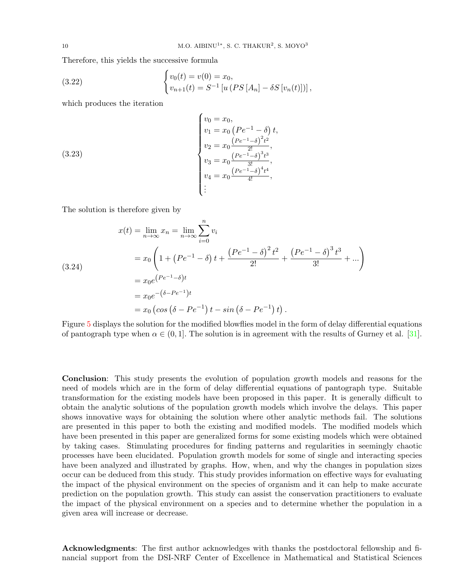Therefore, this yields the successive formula

(3.22) 
$$
\begin{cases} v_0(t) = v(0) = x_0, \\ v_{n+1}(t) = S^{-1} \left[ u \left( PS \left[ A_n \right] - \delta S \left[ v_n(t) \right] \right) \right], \end{cases}
$$

which produces the iteration

(3.23)  

$$
\begin{cases}\nv_0 = x_0, \\
v_1 = x_0 (Pe^{-1} - \delta) t, \\
v_2 = x_0 \frac{(Pe^{-1} - \delta)^2 t^2}{2!}, \\
v_3 = x_0 \frac{(Pe^{-1} - \delta)^3 t^3}{3!}, \\
v_4 = x_0 \frac{(Pe^{-1} - \delta)^4 t^4}{4!}, \\
\vdots\n\end{cases}
$$

The solution is therefore given by

(3.24)  
\n
$$
x(t) = \lim_{n \to \infty} x_n = \lim_{n \to \infty} \sum_{i=0}^n v_i
$$
\n
$$
= x_0 \left( 1 + (Pe^{-1} - \delta) t + \frac{(Pe^{-1} - \delta)^2 t^2}{2!} + \frac{(Pe^{-1} - \delta)^3 t^3}{3!} + \dots \right)
$$
\n
$$
= x_0 e^{(Pe^{-1} - \delta)t}
$$
\n
$$
= x_0 e^{-(\delta - Pe^{-1})t}
$$
\n
$$
= x_0 \left( \cos (\delta - Pe^{-1}) t - \sin (\delta - Pe^{-1}) t \right).
$$

Figure [5](#page-10-12) displays the solution for the modified blowflies model in the form of delay differential equations of pantograph type when  $\alpha \in (0,1]$ . The solution is in agreement with the results of Gurney et al. [\[31\]](#page-11-18).

Conclusion: This study presents the evolution of population growth models and reasons for the need of models which are in the form of delay differential equations of pantograph type. Suitable transformation for the existing models have been proposed in this paper. It is generally difficult to obtain the analytic solutions of the population growth models which involve the delays. This paper shows innovative ways for obtaining the solution where other analytic methods fail. The solutions are presented in this paper to both the existing and modified models. The modified models which have been presented in this paper are generalized forms for some existing models which were obtained by taking cases. Stimulating procedures for finding patterns and regularities in seemingly chaotic processes have been elucidated. Population growth models for some of single and interacting species have been analyzed and illustrated by graphs. How, when, and why the changes in population sizes occur can be deduced from this study. This study provides information on effective ways for evaluating the impact of the physical environment on the species of organism and it can help to make accurate prediction on the population growth. This study can assist the conservation practitioners to evaluate the impact of the physical environment on a species and to determine whether the population in a given area will increase or decrease.

Acknowledgments: The first author acknowledges with thanks the postdoctoral fellowship and financial support from the DSI-NRF Center of Excellence in Mathematical and Statistical Sciences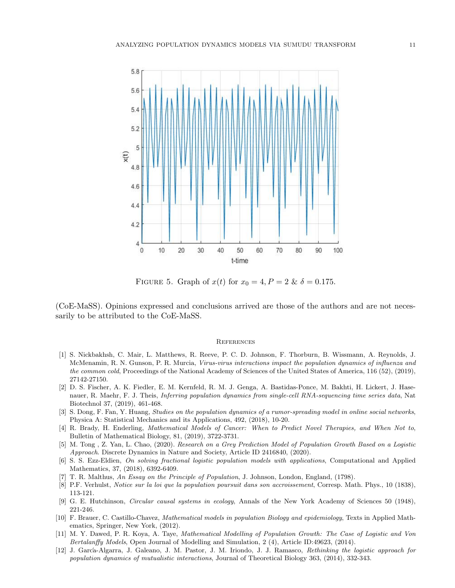

<span id="page-10-12"></span>FIGURE 5. Graph of  $x(t)$  for  $x_0 = 4$ ,  $P = 2$  &  $\delta = 0.175$ .

(CoE-MaSS). Opinions expressed and conclusions arrived are those of the authors and are not necessarily to be attributed to the CoE-MaSS.

#### **REFERENCES**

- <span id="page-10-0"></span>[1] S. Nickbakhsh, C. Mair, L. Matthews, R. Reeve, P. C. D. Johnson, F. Thorburn, B. Wissmann, A. Reynolds, J. McMenamin, R. N. Gunson, P. R. Murcia, Virus-virus interactions impact the population dynamics of influenza and the common cold, Proceedings of the National Academy of Sciences of the United States of America, 116 (52), (2019), 27142-27150.
- <span id="page-10-1"></span>[2] D. S. Fischer, A. K. Fiedler, E. M. Kernfeld, R. M. J. Genga, A. Bastidas-Ponce, M. Bakhti, H. Lickert, J. Hasenauer, R. Maehr, F. J. Theis, *Inferring population dynamics from single-cell RNA-sequencing time series data*, Nat Biotechnol 37, (2019), 461-468.
- <span id="page-10-2"></span>[3] S. Dong, F. Fan, Y. Huang, Studies on the population dynamics of a rumor-spreading model in online social networks, Physica A: Statistical Mechanics and its Applications, 492, (2018), 10-20.
- <span id="page-10-3"></span>[4] R. Brady, H. Enderling, Mathematical Models of Cancer: When to Predict Novel Therapies, and When Not to, Bulletin of Mathematical Biology, 81, (2019), 3722-3731.
- <span id="page-10-4"></span>[5] M. Tong , Z. Yan, L. Chao, (2020). Research on a Grey Prediction Model of Population Growth Based on a Logistic Approach. Discrete Dynamics in Nature and Society, Article ID 2416840, (2020).
- <span id="page-10-5"></span>[6] S. S. Ezz-Eldien, On solving fractional logistic population models with applications, Computational and Applied Mathematics, 37, (2018), 6392-6409.
- <span id="page-10-6"></span>[7] T. R. Malthus, An Essay on the Principle of Population, J. Johnson, London, England, (1798).
- <span id="page-10-7"></span>[8] P.F. Verhulst, Notice sur la loi que la population poursuit dans son accroissement, Corresp. Math. Phys., 10 (1838), 113-121.
- <span id="page-10-8"></span>[9] G. E. Hutchinson, *Circular causal systems in ecology*, Annals of the New York Academy of Sciences 50 (1948), 221-246.
- <span id="page-10-9"></span>[10] F. Brauer, C. Castillo-Chavez, Mathematical models in population Biology and epidemiology, Texts in Applied Mathematics, Springer, New York, (2012).
- <span id="page-10-10"></span>[11] M. Y. Dawed, P. R. Koya, A. Taye, Mathematical Modelling of Population Growth: The Case of Logistic and Von Bertalanffy Models, Open Journal of Modelling and Simulation, 2 (4), Article ID:49623, (2014).
- <span id="page-10-11"></span>[12] J. Garc´a-Algarra, J. Galeano, J. M. Pastor, J. M. Iriondo, J. J. Ramasco, Rethinking the logistic approach for population dynamics of mutualistic interactions, Journal of Theoretical Biology 363, (2014), 332-343.